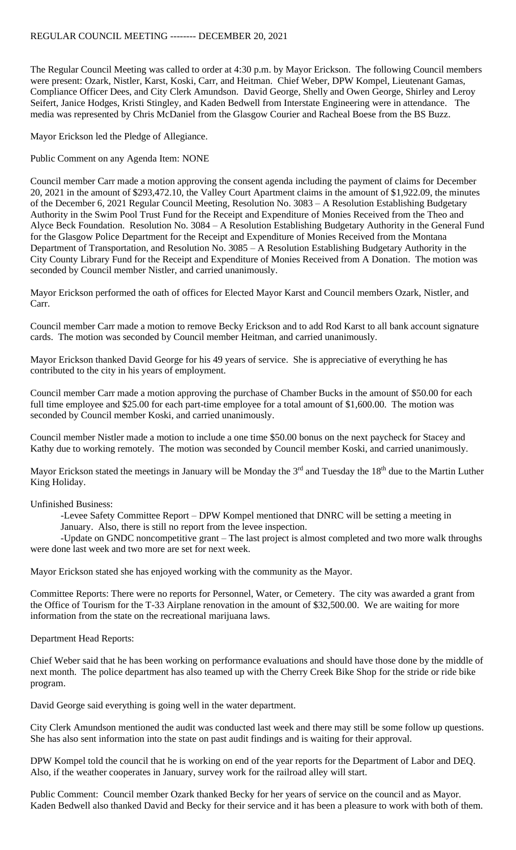The Regular Council Meeting was called to order at 4:30 p.m. by Mayor Erickson. The following Council members were present: Ozark, Nistler, Karst, Koski, Carr, and Heitman. Chief Weber, DPW Kompel, Lieutenant Gamas, Compliance Officer Dees, and City Clerk Amundson. David George, Shelly and Owen George, Shirley and Leroy Seifert, Janice Hodges, Kristi Stingley, and Kaden Bedwell from Interstate Engineering were in attendance. The media was represented by Chris McDaniel from the Glasgow Courier and Racheal Boese from the BS Buzz.

Mayor Erickson led the Pledge of Allegiance.

Public Comment on any Agenda Item: NONE

Council member Carr made a motion approving the consent agenda including the payment of claims for December 20, 2021 in the amount of \$293,472.10, the Valley Court Apartment claims in the amount of \$1,922.09, the minutes of the December 6, 2021 Regular Council Meeting, Resolution No. 3083 – A Resolution Establishing Budgetary Authority in the Swim Pool Trust Fund for the Receipt and Expenditure of Monies Received from the Theo and Alyce Beck Foundation. Resolution No. 3084 – A Resolution Establishing Budgetary Authority in the General Fund for the Glasgow Police Department for the Receipt and Expenditure of Monies Received from the Montana Department of Transportation, and Resolution No. 3085 – A Resolution Establishing Budgetary Authority in the City County Library Fund for the Receipt and Expenditure of Monies Received from A Donation. The motion was seconded by Council member Nistler, and carried unanimously.

Mayor Erickson performed the oath of offices for Elected Mayor Karst and Council members Ozark, Nistler, and Carr.

Council member Carr made a motion to remove Becky Erickson and to add Rod Karst to all bank account signature cards. The motion was seconded by Council member Heitman, and carried unanimously.

Mayor Erickson thanked David George for his 49 years of service. She is appreciative of everything he has contributed to the city in his years of employment.

Council member Carr made a motion approving the purchase of Chamber Bucks in the amount of \$50.00 for each full time employee and \$25.00 for each part-time employee for a total amount of \$1,600.00. The motion was seconded by Council member Koski, and carried unanimously.

Council member Nistler made a motion to include a one time \$50.00 bonus on the next paycheck for Stacey and Kathy due to working remotely. The motion was seconded by Council member Koski, and carried unanimously.

Mayor Erickson stated the meetings in January will be Monday the  $3<sup>rd</sup>$  and Tuesday the  $18<sup>th</sup>$  due to the Martin Luther King Holiday.

Unfinished Business:

-Levee Safety Committee Report – DPW Kompel mentioned that DNRC will be setting a meeting in January. Also, there is still no report from the levee inspection.

-Update on GNDC noncompetitive grant – The last project is almost completed and two more walk throughs were done last week and two more are set for next week.

Mayor Erickson stated she has enjoyed working with the community as the Mayor.

Committee Reports: There were no reports for Personnel, Water, or Cemetery. The city was awarded a grant from the Office of Tourism for the T-33 Airplane renovation in the amount of \$32,500.00. We are waiting for more information from the state on the recreational marijuana laws.

Department Head Reports:

Chief Weber said that he has been working on performance evaluations and should have those done by the middle of next month. The police department has also teamed up with the Cherry Creek Bike Shop for the stride or ride bike program.

David George said everything is going well in the water department.

City Clerk Amundson mentioned the audit was conducted last week and there may still be some follow up questions. She has also sent information into the state on past audit findings and is waiting for their approval.

DPW Kompel told the council that he is working on end of the year reports for the Department of Labor and DEQ. Also, if the weather cooperates in January, survey work for the railroad alley will start.

Public Comment: Council member Ozark thanked Becky for her years of service on the council and as Mayor. Kaden Bedwell also thanked David and Becky for their service and it has been a pleasure to work with both of them.